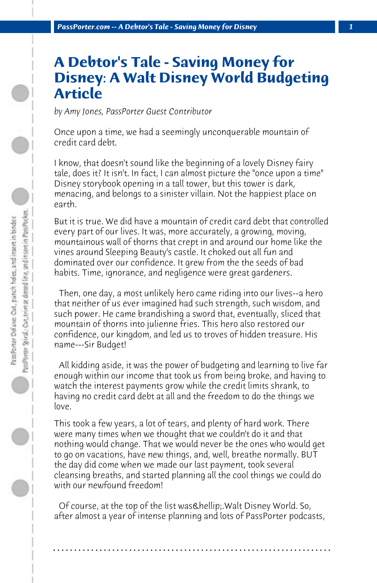## **A Debtor's Tale - Saving Money for Disney: A Walt Disney World Budgeting Article**

*by Amy Jones, PassPorter Guest Contributor*

Once upon a time, we had a seemingly unconquerable mountain of credit card debt.

I know, that doesn't sound like the beginning of a lovely Disney fairy tale, does it? It isn't. In fact, I can almost picture the "once upon a time" Disney storybook opening in a tall tower, but this tower is dark, menacing, and belongs to a sinister villain. Not the happiest place on earth.

But it is true. We did have a mountain of credit card debt that controlled every part of our lives. It was, more accurately, a growing, moving, mountainous wall of thorns that crept in and around our home like the vines around Sleeping Beauty's castle. It choked out all fun and dominated over our confidence. It grew from the the seeds of bad habits. Time, ignorance, and negligence were great gardeners.

 Then, one day, a most unlikely hero came riding into our lives--a hero that neither of us ever imagined had such strength, such wisdom, and such power. He came brandishing a sword that, eventually, sliced that mountain of thorns into julienne fries. This hero also restored our confidence, our kingdom, and led us to troves of hidden treasure. His name---Sir Budget!

 All kidding aside, it was the power of budgeting and learning to live far enough within our income that took us from being broke, and having to watch the interest payments grow while the credit limits shrank, to having no credit card debt at all and the freedom to do the things we love.

This took a few years, a lot of tears, and plenty of hard work. There were many times when we thought that we couldn't do it and that nothing would change. That we would never be the ones who would get to go on vacations, have new things, and, well, breathe normally. BUT the day did come when we made our last payment, took several cleansing breaths, and started planning all the cool things we could do with our newfound freedom!

Of course, at the top of the list was & hellip; Walt Disney World. So, after almost a year of intense planning and lots of PassPorter podcasts,

**. . . . . . . . . . . . . . . . . . . . . . . . . . . . . . . . . . . . . . . . . . . . . . . . . . . . . . . . . . . . . . . . . .**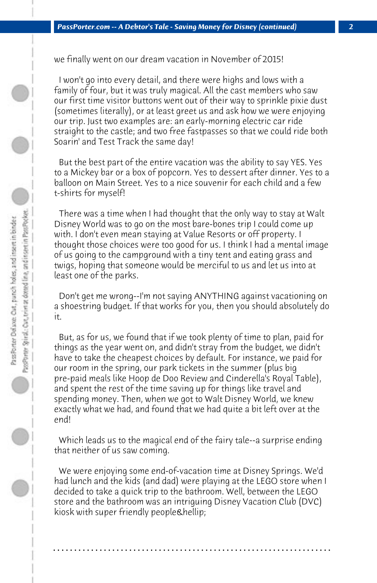we finally went on our dream vacation in November of 2015!

 I won't go into every detail, and there were highs and lows with a family of four, but it was truly magical. All the cast members who saw our first time visitor buttons went out of their way to sprinkle pixie dust (sometimes literally), or at least greet us and ask how we were enjoying our trip. Just two examples are: an early-morning electric car ride straight to the castle; and two free fastpasses so that we could ride both Soarin' and Test Track the same day!

 But the best part of the entire vacation was the ability to say YES. Yes to a Mickey bar or a box of popcorn. Yes to dessert after dinner. Yes to a balloon on Main Street. Yes to a nice souvenir for each child and a few t-shirts for myself!

 There was a time when I had thought that the only way to stay at Walt Disney World was to go on the most bare-bones trip I could come up with. I don't even mean staying at Value Resorts or off property. I thought those choices were too good for us. I think I had a mental image of us going to the campground with a tiny tent and eating grass and twigs, hoping that someone would be merciful to us and let us into at least one of the parks.

 Don't get me wrong--I'm not saying ANYTHING against vacationing on a shoestring budget. If that works for you, then you should absolutely do it.

 But, as for us, we found that if we took plenty of time to plan, paid for things as the year went on, and didn't stray from the budget, we didn't have to take the cheapest choices by default. For instance, we paid for our room in the spring, our park tickets in the summer (plus big pre-paid meals like Hoop de Doo Review and Cinderella's Royal Table), and spent the rest of the time saving up for things like travel and spending money. Then, when we got to Walt Disney World, we knew exactly what we had, and found that we had quite a bit left over at the end!

 Which leads us to the magical end of the fairy tale--a surprise ending that neither of us saw coming.

 We were enjoying some end-of-vacation time at Disney Springs. We'd had lunch and the kids (and dad) were playing at the LEGO store when I decided to take a quick trip to the bathroom. Well, between the LEGO store and the bathroom was an intriguing Disney Vacation Club (DVC) kiosk with super friendly people & hellip;

**. . . . . . . . . . . . . . . . . . . . . . . . . . . . . . . . . . . . . . . . . . . . . . . . . . . . . . . . . . . . . . . . . .**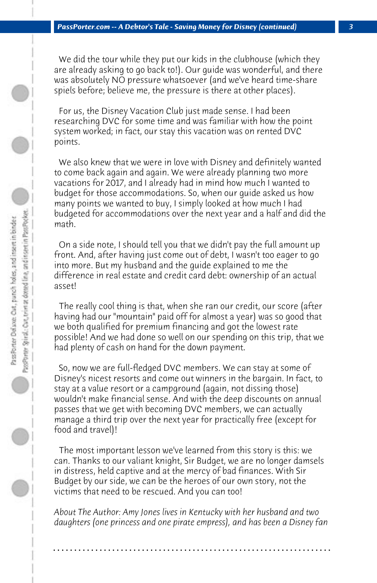We did the tour while they put our kids in the clubhouse (which they are already asking to go back to!). Our guide was wonderful, and there was absolutely NO pressure whatsoever (and we've heard time-share spiels before; believe me, the pressure is there at other places).

 For us, the Disney Vacation Club just made sense. I had been researching DVC for some time and was familiar with how the point system worked; in fact, our stay this vacation was on rented DVC points.

 We also knew that we were in love with Disney and definitely wanted to come back again and again. We were already planning two more vacations for 2017, and I already had in mind how much I wanted to budget for those accommodations. So, when our guide asked us how many points we wanted to buy, I simply looked at how much I had budgeted for accommodations over the next year and a half and did the math.

 On a side note, I should tell you that we didn't pay the full amount up front. And, after having just come out of debt, I wasn't too eager to go into more. But my husband and the guide explained to me the difference in real estate and credit card debt: ownership of an actual asset!

 The really cool thing is that, when she ran our credit, our score (after having had our "mountain" paid off for almost a year) was so good that we both qualified for premium financing and got the lowest rate possible! And we had done so well on our spending on this trip, that we had plenty of cash on hand for the down payment.

 So, now we are full-fledged DVC members. We can stay at some of Disney's nicest resorts and come out winners in the bargain. In fact, to stay at a value resort or a campground (again, not dissing those) wouldn't make financial sense. And with the deep discounts on annual passes that we get with becoming DVC members, we can actually manage a third trip over the next year for practically free (except for food and travel)!

 The most important lesson we've learned from this story is this: we can. Thanks to our valiant knight, Sir Budget, we are no longer damsels in distress, held captive and at the mercy of bad finances. With Sir Budget by our side, we can be the heroes of our own story, not the victims that need to be rescued. And you can too!

*About The Author: Amy Jones lives in Kentucky with her husband and two daughters (one princess and one pirate empress), and has been a Disney fan*

**. . . . . . . . . . . . . . . . . . . . . . . . . . . . . . . . . . . . . . . . . . . . . . . . . . . . . . . . . . . . . . . . . .**